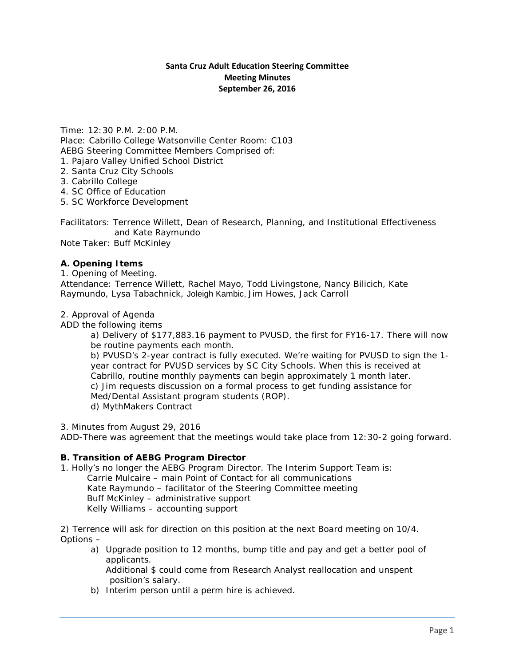## **Santa Cruz Adult Education Steering Committee Meeting Minutes September 26, 2016**

Time: 12:30 P.M. 2:00 P.M. Place: Cabrillo College Watsonville Center Room: C103 AEBG Steering Committee Members Comprised of: 1. Pajaro Valley Unified School District

- 2. Santa Cruz City Schools
- 3. Cabrillo College
- 4. SC Office of Education
- 5. SC Workforce Development

Facilitators: Terrence Willett, Dean of Research, Planning, and Institutional Effectiveness and Kate Raymundo Note Taker: Buff McKinley

#### **A. Opening Items**

1. Opening of Meeting. Attendance: Terrence Willett, Rachel Mayo, Todd Livingstone, Nancy Bilicich, Kate Raymundo, Lysa Tabachnick, Joleigh Kambic, Jim Howes, Jack Carroll

#### 2. Approval of Agenda

*ADD the following items*

a) Delivery of \$177,883.16 payment to PVUSD, the first for FY16-17. There will now be routine payments each month.

b) PVUSD's 2-year contract is fully executed. We're waiting for PVUSD to sign the 1 year contract for PVUSD services by SC City Schools. When this is received at Cabrillo, routine monthly payments can begin approximately 1 month later. c) Jim requests discussion on a formal process to get funding assistance for Med/Dental Assistant program students (ROP). d) MythMakers Contract

3. Minutes from August 29, 2016

*ADD-*There was agreement that the meetings would take place from 12:30-2 going forward.

#### **B. Transition of AEBG Program Director**

1. Holly's no longer the AEBG Program Director. The Interim Support Team is: Carrie Mulcaire – main Point of Contact for all communications Kate Raymundo – facilitator of the Steering Committee meeting Buff McKinley – administrative support Kelly Williams – accounting support

2) Terrence will ask for direction on this position at the next Board meeting on 10/4. Options –

a) Upgrade position to 12 months, bump title and pay and get a better pool of applicants.

Additional \$ could come from Research Analyst reallocation and unspent position's salary.

b) Interim person until a perm hire is achieved.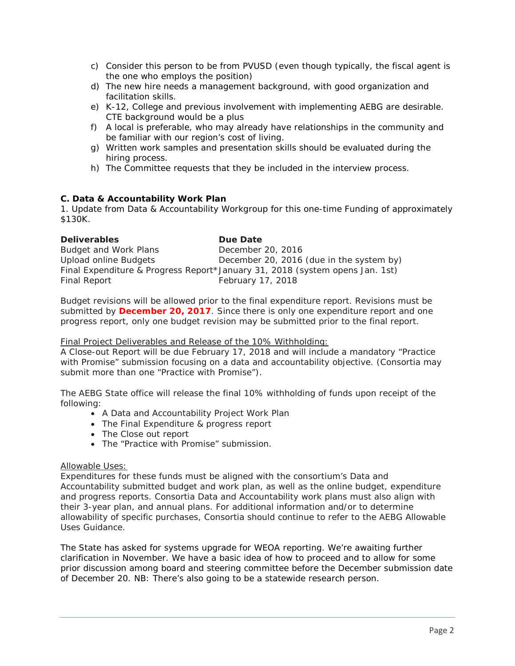- c) Consider this person to be from PVUSD (even though typically, the fiscal agent is the one who employs the position)
- d) The new hire needs a management background, with good organization and facilitation skills.
- e) K-12, College and previous involvement with implementing AEBG are desirable. CTE background would be a plus
- f) A local is preferable, who may already have relationships in the community and be familiar with our region's cost of living.
- g) Written work samples and presentation skills should be evaluated during the hiring process.
- h) The Committee requests that they be included in the interview process.

## **C. Data & Accountability Work Plan**

1. Update from Data & Accountability Workgroup for this one-time Funding of approximately \$130K.

| <b>Deliverables</b>   | Due Date                                                                     |
|-----------------------|------------------------------------------------------------------------------|
| Budget and Work Plans | December 20, 2016                                                            |
| Upload online Budgets | December 20, 2016 (due in the system by)                                     |
|                       | Final Expenditure & Progress Report*January 31, 2018 (system opens Jan. 1st) |
| Final Report          | February 17, 2018                                                            |

Budget revisions will be allowed prior to the final expenditure report. Revisions must be submitted by **December 20, 2017**. Since there is only one expenditure report and one progress report, only one budget revision may be submitted prior to the final report.

### Final Project Deliverables and Release of the 10% Withholding:

A Close-out Report will be due February 17, 2018 and will include a mandatory "Practice with Promise" submission focusing on a data and accountability objective. (Consortia may submit more than one "Practice with Promise").

The AEBG State office will release the final 10% withholding of funds upon receipt of the following:

- A Data and Accountability Project Work Plan
- The Final Expenditure & progress report
- The Close out report
- The "Practice with Promise" submission.

### Allowable Uses:

Expenditures for these funds must be aligned with the consortium's Data and Accountability submitted budget and work plan, as well as the online budget, expenditure and progress reports. Consortia Data and Accountability work plans must also align with their 3-year plan, and annual plans. For additional information and/or to determine allowability of specific purchases, Consortia should continue to refer to the AEBG Allowable Uses Guidance.

The State has asked for systems upgrade for WEOA reporting. We're awaiting further clarification in November. We have a basic idea of how to proceed and to allow for some prior discussion among board and steering committee before the December submission date of December 20. NB: There's also going to be a statewide research person.